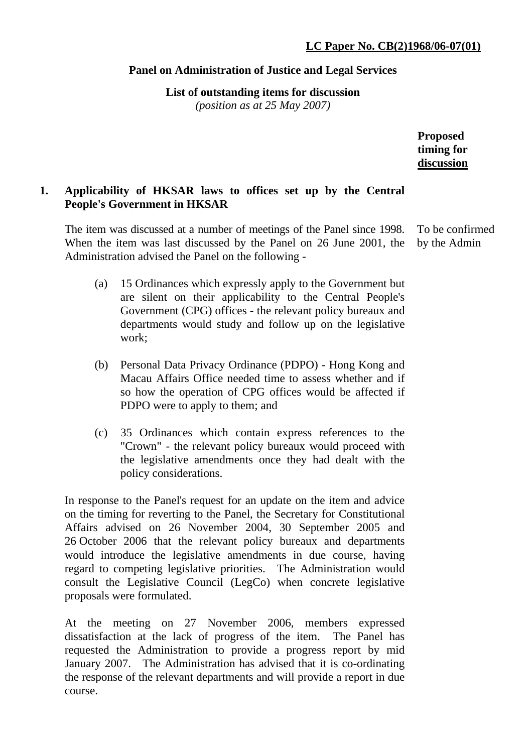# **Panel on Administration of Justice and Legal Services**

**List of outstanding items for discussion**  *(position as at 25 May 2007)*

> **Proposed timing for discussion**

# **1. Applicability of HKSAR laws to offices set up by the Central People's Government in HKSAR**

The item was discussed at a number of meetings of the Panel since 1998. When the item was last discussed by the Panel on 26 June 2001, the Administration advised the Panel on the following - To be confirmed by the Admin

- (a) 15 Ordinances which expressly apply to the Government but are silent on their applicability to the Central People's Government (CPG) offices - the relevant policy bureaux and departments would study and follow up on the legislative work;
- (b) Personal Data Privacy Ordinance (PDPO) Hong Kong and Macau Affairs Office needed time to assess whether and if so how the operation of CPG offices would be affected if PDPO were to apply to them; and
- (c) 35 Ordinances which contain express references to the "Crown" - the relevant policy bureaux would proceed with the legislative amendments once they had dealt with the policy considerations.

In response to the Panel's request for an update on the item and advice on the timing for reverting to the Panel, the Secretary for Constitutional Affairs advised on 26 November 2004, 30 September 2005 and 26 October 2006 that the relevant policy bureaux and departments would introduce the legislative amendments in due course, having regard to competing legislative priorities. The Administration would consult the Legislative Council (LegCo) when concrete legislative proposals were formulated.

At the meeting on 27 November 2006, members expressed dissatisfaction at the lack of progress of the item. The Panel has requested the Administration to provide a progress report by mid January 2007. The Administration has advised that it is co-ordinating the response of the relevant departments and will provide a report in due course.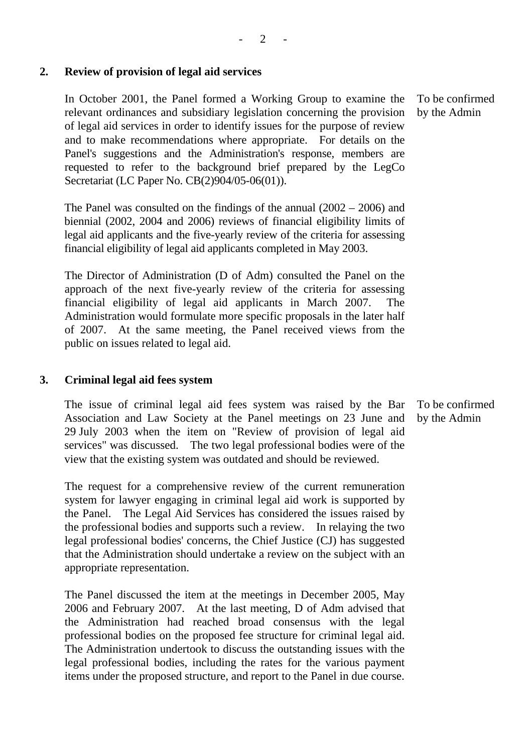In October 2001, the Panel formed a Working Group to examine the relevant ordinances and subsidiary legislation concerning the provision of legal aid services in order to identify issues for the purpose of review and to make recommendations where appropriate. For details on the Panel's suggestions and the Administration's response, members are requested to refer to the background brief prepared by the LegCo Secretariat (LC Paper No. CB(2)904/05-06(01)).

The Panel was consulted on the findings of the annual (2002 – 2006) and biennial (2002, 2004 and 2006) reviews of financial eligibility limits of legal aid applicants and the five-yearly review of the criteria for assessing financial eligibility of legal aid applicants completed in May 2003.

The Director of Administration (D of Adm) consulted the Panel on the approach of the next five-yearly review of the criteria for assessing financial eligibility of legal aid applicants in March 2007. The Administration would formulate more specific proposals in the later half of 2007. At the same meeting, the Panel received views from the public on issues related to legal aid.

### **3. Criminal legal aid fees system**

The issue of criminal legal aid fees system was raised by the Bar Association and Law Society at the Panel meetings on 23 June and 29 July 2003 when the item on "Review of provision of legal aid services" was discussed. The two legal professional bodies were of the view that the existing system was outdated and should be reviewed.

The request for a comprehensive review of the current remuneration system for lawyer engaging in criminal legal aid work is supported by the Panel. The Legal Aid Services has considered the issues raised by the professional bodies and supports such a review. In relaying the two legal professional bodies' concerns, the Chief Justice (CJ) has suggested that the Administration should undertake a review on the subject with an appropriate representation.

The Panel discussed the item at the meetings in December 2005, May 2006 and February 2007. At the last meeting, D of Adm advised that the Administration had reached broad consensus with the legal professional bodies on the proposed fee structure for criminal legal aid. The Administration undertook to discuss the outstanding issues with the legal professional bodies, including the rates for the various payment items under the proposed structure, and report to the Panel in due course.

To be confirmed by the Admin

To be confirmed by the Admin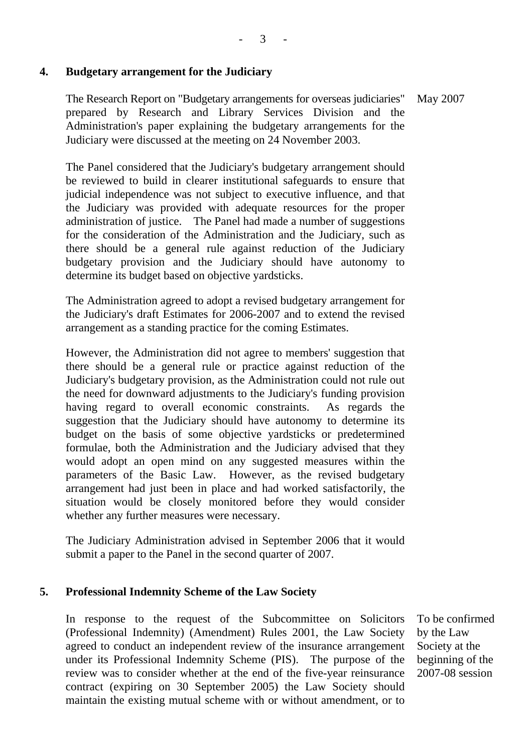## **4. Budgetary arrangement for the Judiciary**

The Research Report on "Budgetary arrangements for overseas judiciaries" prepared by Research and Library Services Division and the Administration's paper explaining the budgetary arrangements for the Judiciary were discussed at the meeting on 24 November 2003. May 2007

The Panel considered that the Judiciary's budgetary arrangement should be reviewed to build in clearer institutional safeguards to ensure that judicial independence was not subject to executive influence, and that the Judiciary was provided with adequate resources for the proper administration of justice. The Panel had made a number of suggestions for the consideration of the Administration and the Judiciary, such as there should be a general rule against reduction of the Judiciary budgetary provision and the Judiciary should have autonomy to determine its budget based on objective yardsticks.

The Administration agreed to adopt a revised budgetary arrangement for the Judiciary's draft Estimates for 2006-2007 and to extend the revised arrangement as a standing practice for the coming Estimates.

However, the Administration did not agree to members' suggestion that there should be a general rule or practice against reduction of the Judiciary's budgetary provision, as the Administration could not rule out the need for downward adjustments to the Judiciary's funding provision having regard to overall economic constraints. As regards the suggestion that the Judiciary should have autonomy to determine its budget on the basis of some objective yardsticks or predetermined formulae, both the Administration and the Judiciary advised that they would adopt an open mind on any suggested measures within the parameters of the Basic Law. However, as the revised budgetary arrangement had just been in place and had worked satisfactorily, the situation would be closely monitored before they would consider whether any further measures were necessary.

The Judiciary Administration advised in September 2006 that it would submit a paper to the Panel in the second quarter of 2007.

### **5. Professional Indemnity Scheme of the Law Society**

In response to the request of the Subcommittee on Solicitors (Professional Indemnity) (Amendment) Rules 2001, the Law Society agreed to conduct an independent review of the insurance arrangement under its Professional Indemnity Scheme (PIS). The purpose of the review was to consider whether at the end of the five-year reinsurance contract (expiring on 30 September 2005) the Law Society should maintain the existing mutual scheme with or without amendment, or to

To be confirmed by the Law Society at the beginning of the 2007-08 session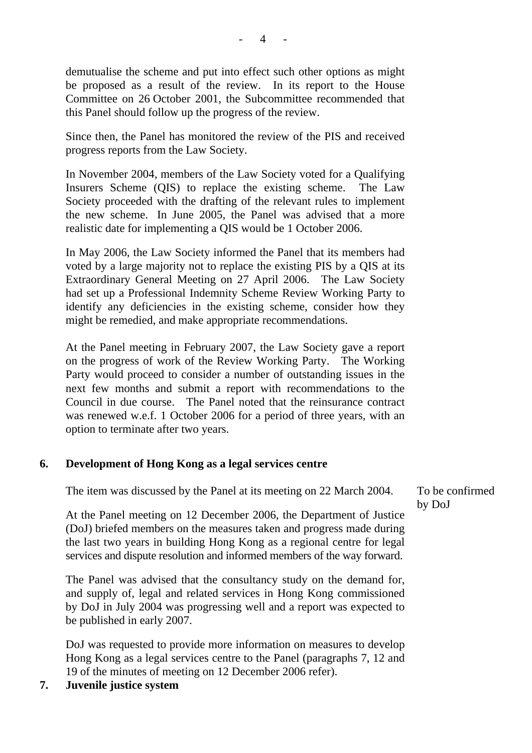demutualise the scheme and put into effect such other options as might be proposed as a result of the review. In its report to the House Committee on 26 October 2001, the Subcommittee recommended that this Panel should follow up the progress of the review.

Since then, the Panel has monitored the review of the PIS and received progress reports from the Law Society.

In November 2004, members of the Law Society voted for a Qualifying Insurers Scheme (QIS) to replace the existing scheme. The Law Society proceeded with the drafting of the relevant rules to implement the new scheme. In June 2005, the Panel was advised that a more realistic date for implementing a QIS would be 1 October 2006.

In May 2006, the Law Society informed the Panel that its members had voted by a large majority not to replace the existing PIS by a QIS at its Extraordinary General Meeting on 27 April 2006. The Law Society had set up a Professional Indemnity Scheme Review Working Party to identify any deficiencies in the existing scheme, consider how they might be remedied, and make appropriate recommendations.

At the Panel meeting in February 2007, the Law Society gave a report on the progress of work of the Review Working Party. The Working Party would proceed to consider a number of outstanding issues in the next few months and submit a report with recommendations to the Council in due course. The Panel noted that the reinsurance contract was renewed w.e.f. 1 October 2006 for a period of three years, with an option to terminate after two years.

## **6. Development of Hong Kong as a legal services centre**

The item was discussed by the Panel at its meeting on 22 March 2004.

At the Panel meeting on 12 December 2006, the Department of Justice (DoJ) briefed members on the measures taken and progress made during the last two years in building Hong Kong as a regional centre for legal services and dispute resolution and informed members of the way forward.

The Panel was advised that the consultancy study on the demand for, and supply of, legal and related services in Hong Kong commissioned by DoJ in July 2004 was progressing well and a report was expected to be published in early 2007.

DoJ was requested to provide more information on measures to develop Hong Kong as a legal services centre to the Panel (paragraphs 7, 12 and 19 of the minutes of meeting on 12 December 2006 refer).

**7. Juvenile justice system** 

To be confirmed by DoJ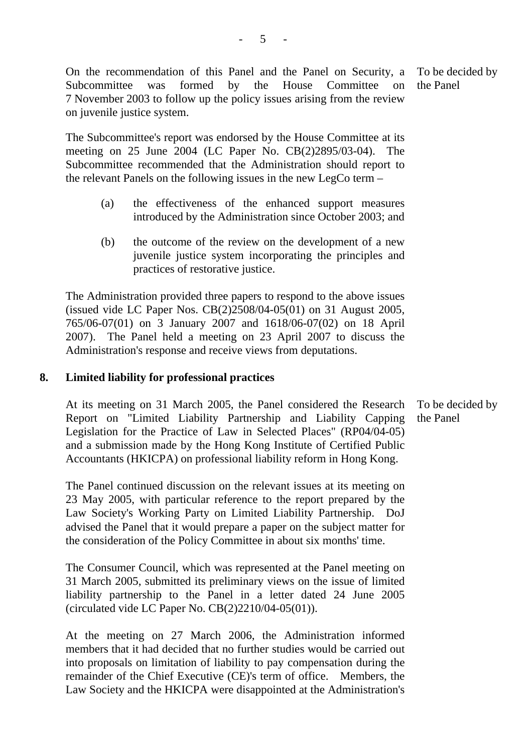On the recommendation of this Panel and the Panel on Security, a Subcommittee was formed by the House Committee on 7 November 2003 to follow up the policy issues arising from the review on juvenile justice system.

The Subcommittee's report was endorsed by the House Committee at its meeting on 25 June 2004 (LC Paper No. CB(2)2895/03-04). The Subcommittee recommended that the Administration should report to the relevant Panels on the following issues in the new LegCo term –

- (a) the effectiveness of the enhanced support measures introduced by the Administration since October 2003; and
- (b) the outcome of the review on the development of a new juvenile justice system incorporating the principles and practices of restorative justice.

The Administration provided three papers to respond to the above issues (issued vide LC Paper Nos. CB(2)2508/04-05(01) on 31 August 2005, 765/06-07(01) on 3 January 2007 and 1618/06-07(02) on 18 April 2007). The Panel held a meeting on 23 April 2007 to discuss the Administration's response and receive views from deputations.

# **8. Limited liability for professional practices**

At its meeting on 31 March 2005, the Panel considered the Research Report on "Limited Liability Partnership and Liability Capping Legislation for the Practice of Law in Selected Places" (RP04/04-05) and a submission made by the Hong Kong Institute of Certified Public Accountants (HKICPA) on professional liability reform in Hong Kong.

The Panel continued discussion on the relevant issues at its meeting on 23 May 2005, with particular reference to the report prepared by the Law Society's Working Party on Limited Liability Partnership. DoJ advised the Panel that it would prepare a paper on the subject matter for the consideration of the Policy Committee in about six months' time.

The Consumer Council, which was represented at the Panel meeting on 31 March 2005, submitted its preliminary views on the issue of limited liability partnership to the Panel in a letter dated 24 June 2005 (circulated vide LC Paper No. CB(2)2210/04-05(01)).

At the meeting on 27 March 2006, the Administration informed members that it had decided that no further studies would be carried out into proposals on limitation of liability to pay compensation during the remainder of the Chief Executive (CE)'s term of office. Members, the Law Society and the HKICPA were disappointed at the Administration's

To be decided by the Panel

To be decided by the Panel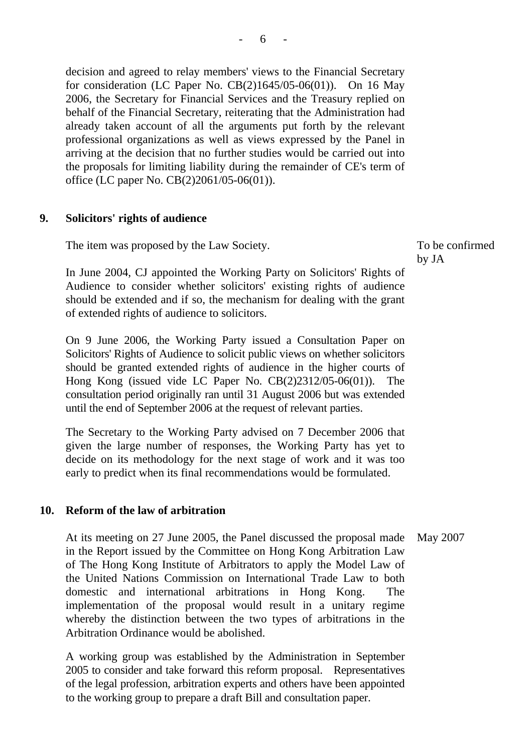decision and agreed to relay members' views to the Financial Secretary for consideration (LC Paper No.  $CB(2)1645/05-06(01)$ ). On 16 May 2006, the Secretary for Financial Services and the Treasury replied on behalf of the Financial Secretary, reiterating that the Administration had already taken account of all the arguments put forth by the relevant professional organizations as well as views expressed by the Panel in arriving at the decision that no further studies would be carried out into the proposals for limiting liability during the remainder of CE's term of office (LC paper No. CB(2)2061/05-06(01)).

#### **9. Solicitors' rights of audience**

The item was proposed by the Law Society.

In June 2004, CJ appointed the Working Party on Solicitors' Rights of Audience to consider whether solicitors' existing rights of audience should be extended and if so, the mechanism for dealing with the grant of extended rights of audience to solicitors.

On 9 June 2006, the Working Party issued a Consultation Paper on Solicitors' Rights of Audience to solicit public views on whether solicitors should be granted extended rights of audience in the higher courts of Hong Kong (issued vide LC Paper No. CB(2)2312/05-06(01)). The consultation period originally ran until 31 August 2006 but was extended until the end of September 2006 at the request of relevant parties.

The Secretary to the Working Party advised on 7 December 2006 that given the large number of responses, the Working Party has yet to decide on its methodology for the next stage of work and it was too early to predict when its final recommendations would be formulated.

### **10. Reform of the law of arbitration**

At its meeting on 27 June 2005, the Panel discussed the proposal made in the Report issued by the Committee on Hong Kong Arbitration Law of The Hong Kong Institute of Arbitrators to apply the Model Law of the United Nations Commission on International Trade Law to both domestic and international arbitrations in Hong Kong. The implementation of the proposal would result in a unitary regime whereby the distinction between the two types of arbitrations in the Arbitration Ordinance would be abolished. May 2007

A working group was established by the Administration in September 2005 to consider and take forward this reform proposal. Representatives of the legal profession, arbitration experts and others have been appointed to the working group to prepare a draft Bill and consultation paper.

To be confirmed by JA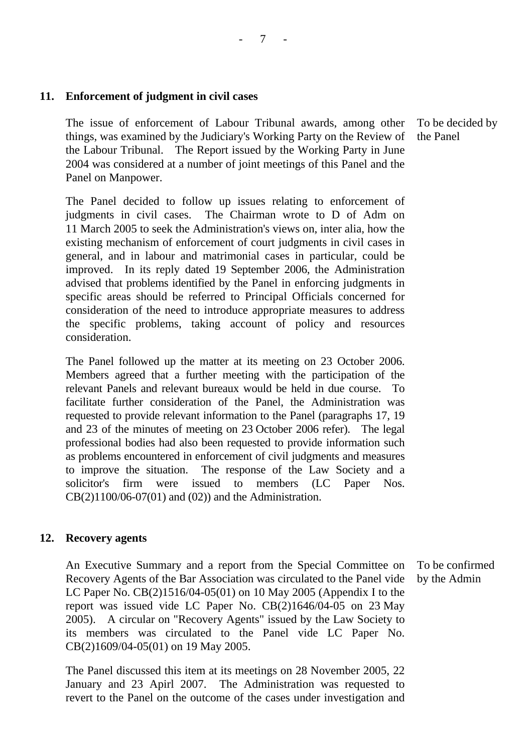### **11. Enforcement of judgment in civil cases**

The issue of enforcement of Labour Tribunal awards, among other things, was examined by the Judiciary's Working Party on the Review of the Labour Tribunal. The Report issued by the Working Party in June 2004 was considered at a number of joint meetings of this Panel and the Panel on Manpower.

The Panel decided to follow up issues relating to enforcement of judgments in civil cases. The Chairman wrote to D of Adm on 11 March 2005 to seek the Administration's views on, inter alia, how the existing mechanism of enforcement of court judgments in civil cases in general, and in labour and matrimonial cases in particular, could be improved. In its reply dated 19 September 2006, the Administration advised that problems identified by the Panel in enforcing judgments in specific areas should be referred to Principal Officials concerned for consideration of the need to introduce appropriate measures to address the specific problems, taking account of policy and resources consideration.

The Panel followed up the matter at its meeting on 23 October 2006. Members agreed that a further meeting with the participation of the relevant Panels and relevant bureaux would be held in due course. To facilitate further consideration of the Panel, the Administration was requested to provide relevant information to the Panel (paragraphs 17, 19 and 23 of the minutes of meeting on 23 October 2006 refer). The legal professional bodies had also been requested to provide information such as problems encountered in enforcement of civil judgments and measures to improve the situation. The response of the Law Society and a solicitor's firm were issued to members (LC Paper Nos. CB(2)1100/06-07(01) and (02)) and the Administration.

#### **12. Recovery agents**

An Executive Summary and a report from the Special Committee on Recovery Agents of the Bar Association was circulated to the Panel vide LC Paper No. CB(2)1516/04-05(01) on 10 May 2005 (Appendix I to the report was issued vide LC Paper No. CB(2)1646/04-05 on 23 May 2005). A circular on "Recovery Agents" issued by the Law Society to its members was circulated to the Panel vide LC Paper No. CB(2)1609/04-05(01) on 19 May 2005.

The Panel discussed this item at its meetings on 28 November 2005, 22 January and 23 Apirl 2007. The Administration was requested to revert to the Panel on the outcome of the cases under investigation and

To be confirmed by the Admin

To be decided by the Panel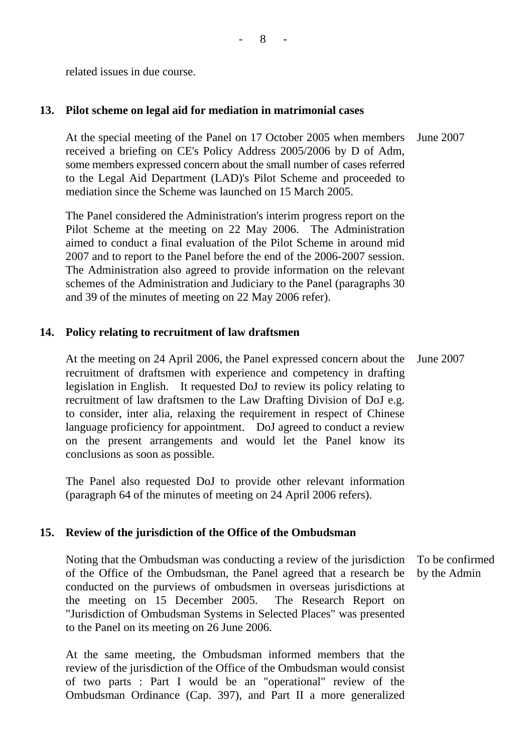related issues in due course.

## **13. Pilot scheme on legal aid for mediation in matrimonial cases**

At the special meeting of the Panel on 17 October 2005 when members received a briefing on CE's Policy Address 2005/2006 by D of Adm, some members expressed concern about the small number of cases referred to the Legal Aid Department (LAD)'s Pilot Scheme and proceeded to mediation since the Scheme was launched on 15 March 2005. June 2007

The Panel considered the Administration's interim progress report on the Pilot Scheme at the meeting on 22 May 2006. The Administration aimed to conduct a final evaluation of the Pilot Scheme in around mid 2007 and to report to the Panel before the end of the 2006-2007 session. The Administration also agreed to provide information on the relevant schemes of the Administration and Judiciary to the Panel (paragraphs 30 and 39 of the minutes of meeting on 22 May 2006 refer).

# **14. Policy relating to recruitment of law draftsmen**

At the meeting on 24 April 2006, the Panel expressed concern about the recruitment of draftsmen with experience and competency in drafting legislation in English. It requested DoJ to review its policy relating to recruitment of law draftsmen to the Law Drafting Division of DoJ e.g. to consider, inter alia, relaxing the requirement in respect of Chinese language proficiency for appointment. DoJ agreed to conduct a review on the present arrangements and would let the Panel know its conclusions as soon as possible. June 2007

The Panel also requested DoJ to provide other relevant information (paragraph 64 of the minutes of meeting on 24 April 2006 refers).

## **15. Review of the jurisdiction of the Office of the Ombudsman**

Noting that the Ombudsman was conducting a review of the jurisdiction of the Office of the Ombudsman, the Panel agreed that a research be conducted on the purviews of ombudsmen in overseas jurisdictions at the meeting on 15 December 2005. The Research Report on "Jurisdiction of Ombudsman Systems in Selected Places" was presented to the Panel on its meeting on 26 June 2006.

At the same meeting, the Ombudsman informed members that the review of the jurisdiction of the Office of the Ombudsman would consist of two parts : Part I would be an "operational" review of the Ombudsman Ordinance (Cap. 397), and Part II a more generalized

To be confirmed by the Admin